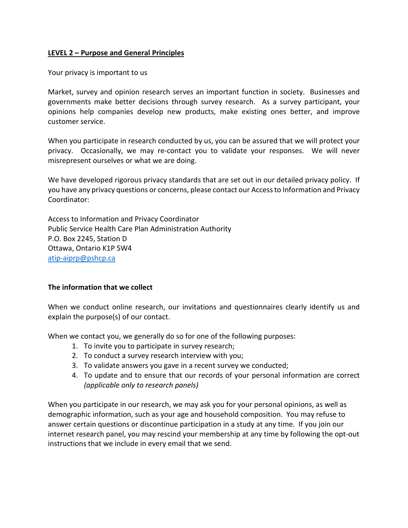### **LEVEL 2 – Purpose and General Principles**

Your privacy is important to us

Market, survey and opinion research serves an important function in society. Businesses and governments make better decisions through survey research. As a survey participant, your opinions help companies develop new products, make existing ones better, and improve customer service.

When you participate in research conducted by us, you can be assured that we will protect your privacy. Occasionally, we may re-contact you to validate your responses. We will never misrepresent ourselves or what we are doing.

We have developed rigorous privacy standards that are set out in our detailed privacy policy. If you have any privacy questions or concerns, please contact our Access to Information and Privacy Coordinator:

Access to Information and Privacy Coordinator Public Service Health Care Plan Administration Authority P.O. Box 2245, Station D Ottawa, Ontario K1P 5W4 [atip-aiprp@pshcp.ca](mailto:atip-aiprp@pshcp.ca)

#### **The information that we collect**

When we conduct online research, our invitations and questionnaires clearly identify us and explain the purpose(s) of our contact.

When we contact you, we generally do so for one of the following purposes:

- 1. To invite you to participate in survey research;
- 2. To conduct a survey research interview with you;
- 3. To validate answers you gave in a recent survey we conducted;
- 4. To update and to ensure that our records of your personal information are correct *(applicable only to research panels)*

When you participate in our research, we may ask you for your personal opinions, as well as demographic information, such as your age and household composition. You may refuse to answer certain questions or discontinue participation in a study at any time. If you join our internet research panel, you may rescind your membership at any time by following the opt-out instructions that we include in every email that we send.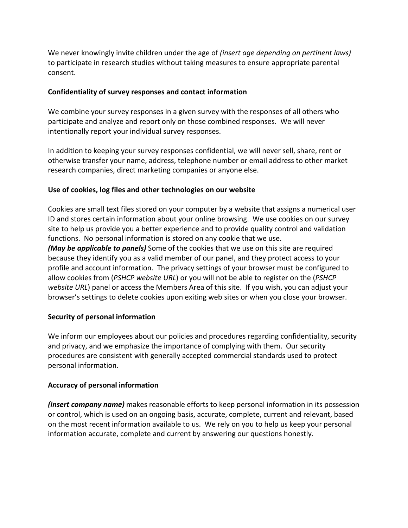We never knowingly invite children under the age of *(insert age depending on pertinent laws)* to participate in research studies without taking measures to ensure appropriate parental consent.

## **Confidentiality of survey responses and contact information**

We combine your survey responses in a given survey with the responses of all others who participate and analyze and report only on those combined responses. We will never intentionally report your individual survey responses.

In addition to keeping your survey responses confidential, we will never sell, share, rent or otherwise transfer your name, address, telephone number or email address to other market research companies, direct marketing companies or anyone else.

### **Use of cookies, log files and other technologies on our website**

Cookies are small text files stored on your computer by a website that assigns a numerical user ID and stores certain information about your online browsing. We use cookies on our survey site to help us provide you a better experience and to provide quality control and validation functions. No personal information is stored on any cookie that we use.

*(May be applicable to panels)* Some of the cookies that we use on this site are required because they identify you as a valid member of our panel, and they protect access to your profile and account information. The privacy settings of your browser must be configured to allow cookies from (*PSHCP website URL*) or you will not be able to register on the (*PSHCP website URL*) panel or access the Members Area of this site. If you wish, you can adjust your browser's settings to delete cookies upon exiting web sites or when you close your browser.

# **Security of personal information**

We inform our employees about our policies and procedures regarding confidentiality, security and privacy, and we emphasize the importance of complying with them. Our security procedures are consistent with generally accepted commercial standards used to protect personal information.

# **Accuracy of personal information**

*(insert company name)* makes reasonable efforts to keep personal information in its possession or control, which is used on an ongoing basis, accurate, complete, current and relevant, based on the most recent information available to us. We rely on you to help us keep your personal information accurate, complete and current by answering our questions honestly.